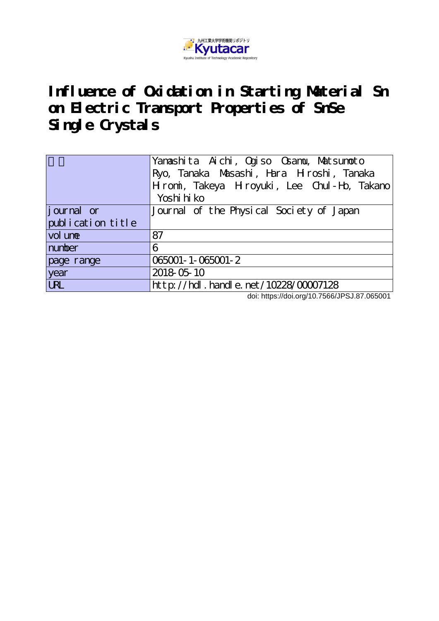

## **Influence of Oxidation in Starting Material Sn on Electric Transport Properties of SnSe Single Crystals**

|                    | Yanashita Aichi, Qoziso Osamu, Matsumoto<br>Ryo, Tanaka Masashi, Hara Hroshi, Tanaka<br>Hromi, Takeya Hroyuki, Lee Chul-Ho, Takano<br>Yoshi hi ko |
|--------------------|---------------------------------------------------------------------------------------------------------------------------------------------------|
| <i>j</i> ournal or | Journal of the Physical Society of Japan                                                                                                          |
| publication title  |                                                                                                                                                   |
| vol une            | 87                                                                                                                                                |
| number             | 6                                                                                                                                                 |
| page range         | 065001-1-065001-2                                                                                                                                 |
| year               | 2018-05-10                                                                                                                                        |
| <b>URL</b>         | http://hdl.handle.net/10228/00007128                                                                                                              |

doi: https://doi.org/10.7566/JPSJ.87.065001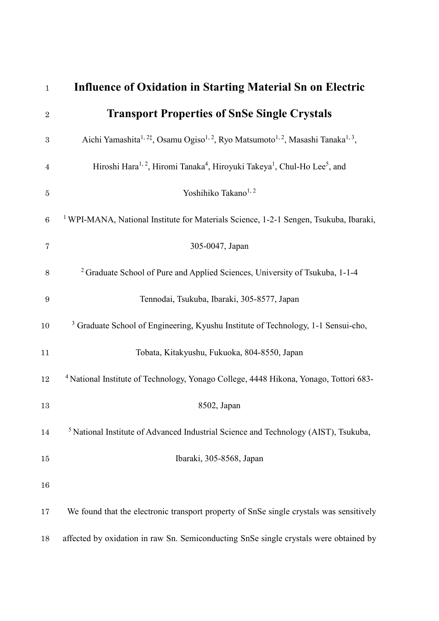| $\mathbf{1}$     | <b>Influence of Oxidation in Starting Material Sn on Electric</b>                                                                 |
|------------------|-----------------------------------------------------------------------------------------------------------------------------------|
| $\sqrt{2}$       | <b>Transport Properties of SnSe Single Crystals</b>                                                                               |
| 3                | Aichi Yamashita <sup>1, 2‡</sup> , Osamu Ogiso <sup>1, 2</sup> , Ryo Matsumoto <sup>1, 2</sup> , Masashi Tanaka <sup>1, 3</sup> , |
| $\overline{4}$   | Hiroshi Hara <sup>1, 2</sup> , Hiromi Tanaka <sup>4</sup> , Hiroyuki Takeya <sup>1</sup> , Chul-Ho Lee <sup>5</sup> , and         |
| $\bf 5$          | Yoshihiko Takano <sup>1,2</sup>                                                                                                   |
| $\,6\,$          | <sup>1</sup> WPI-MANA, National Institute for Materials Science, 1-2-1 Sengen, Tsukuba, Ibaraki,                                  |
| 7                | 305-0047, Japan                                                                                                                   |
| $8\,$            | <sup>2</sup> Graduate School of Pure and Applied Sciences, University of Tsukuba, 1-1-4                                           |
| $\boldsymbol{9}$ | Tennodai, Tsukuba, Ibaraki, 305-8577, Japan                                                                                       |
| 10               | <sup>3</sup> Graduate School of Engineering, Kyushu Institute of Technology, 1-1 Sensui-cho,                                      |
| 11               | Tobata, Kitakyushu, Fukuoka, 804-8550, Japan                                                                                      |
| 12               | <sup>4</sup> National Institute of Technology, Yonago College, 4448 Hikona, Yonago, Tottori 683-                                  |
| 13               | 8502, Japan                                                                                                                       |
| 14               | <sup>5</sup> National Institute of Advanced Industrial Science and Technology (AIST), Tsukuba,                                    |
| 15               | Ibaraki, 305-8568, Japan                                                                                                          |
| 16               |                                                                                                                                   |
| 17               | We found that the electronic transport property of SnSe single crystals was sensitively                                           |
| 18               | affected by oxidation in raw Sn. Semiconducting SnSe single crystals were obtained by                                             |
|                  |                                                                                                                                   |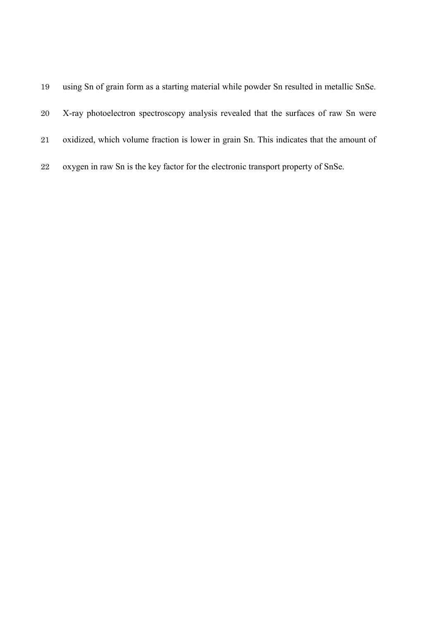| X-ray photoelectron spectroscopy analysis revealed that the surfaces of raw Sn were     |
|-----------------------------------------------------------------------------------------|
| oxidized, which volume fraction is lower in grain Sn. This indicates that the amount of |
| oxygen in raw Sn is the key factor for the electronic transport property of SnSe.       |
|                                                                                         |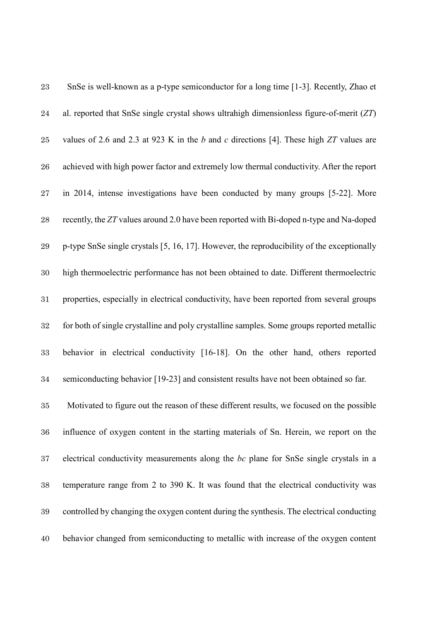| 23          | SnSe is well-known as a p-type semiconductor for a long time [1-3]. Recently, Zhao et      |
|-------------|--------------------------------------------------------------------------------------------|
| 24          | al. reported that SnSe single crystal shows ultrahigh dimensionless figure-of-merit $(ZT)$ |
| 25          | values of 2.6 and 2.3 at 923 K in the b and c directions [4]. These high $ZT$ values are   |
| ${\bf 26}$  | achieved with high power factor and extremely low thermal conductivity. After the report   |
| $\sqrt{27}$ | in 2014, intense investigations have been conducted by many groups [5-22]. More            |
| $\bf{28}$   | recently, the ZT values around 2.0 have been reported with Bi-doped n-type and Na-doped    |
| $\bf 29$    | p-type SnSe single crystals [5, 16, 17]. However, the reproducibility of the exceptionally |
| $30\,$      | high thermoelectric performance has not been obtained to date. Different thermoelectric    |
| 31          | properties, especially in electrical conductivity, have been reported from several groups  |
| $32\,$      | for both of single crystalline and poly crystalline samples. Some groups reported metallic |
| 33          | behavior in electrical conductivity [16-18]. On the other hand, others reported            |
| 34          | semiconducting behavior [19-23] and consistent results have not been obtained so far.      |
| 35          | Motivated to figure out the reason of these different results, we focused on the possible  |
| 36          | influence of oxygen content in the starting materials of Sn. Herein, we report on the      |
| 37          | electrical conductivity measurements along the bc plane for SnSe single crystals in a      |
| 38          | temperature range from 2 to 390 K. It was found that the electrical conductivity was       |
| 39          | controlled by changing the oxygen content during the synthesis. The electrical conducting  |
| 40          | behavior changed from semiconducting to metallic with increase of the oxygen content       |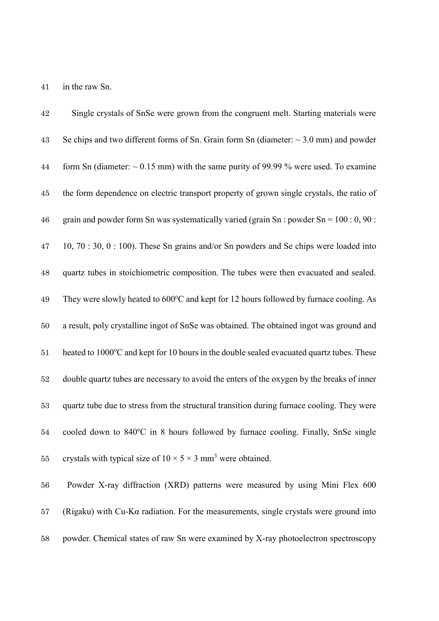41 in the raw Sn.

42 Single crystals of SnSe were grown from the congruent melt. Starting materials were 43 Se chips and two different forms of Sn. Grain form Sn (diameter:  $\sim$  3.0 mm) and powder 44 form Sn (diameter:  $\sim 0.15$  mm) with the same purity of 99.99 % were used. To examine 45 the form dependence on electric transport property of grown single crystals, the ratio of 46 grain and powder form Sn was systematically varied (grain Sn : powder  $Sn = 100:0, 90:$ 47 10, 70 : 30, 0 : 100). These Sn grains and/or Sn powders and Se chips were loaded into 48 quartz tubes in stoichiometric composition. The tubes were then evacuated and sealed. 49 They were slowly heated to 600°C and kept for 12 hours followed by furnace cooling. As 50 a result, poly crystalline ingot of SnSe was obtained. The obtained ingot was ground and 51 heated to 1000°C and kept for 10 hours in the double sealed evacuated quartz tubes. These 52 double quartz tubes are necessary to avoid the enters of the oxygen by the breaks of inner 53 quartz tube due to stress from the structural transition during furnace cooling. They were 54 cooled down to 840°C in 8 hours followed by furnace cooling. Finally, SnSe single 55 crystals with typical size of  $10 \times 5 \times 3$  mm<sup>3</sup> were obtained. 56 Powder X-ray diffraction (XRD) patterns were measured by using Mini Flex 600 57 (Rigaku) with Cu-K $\alpha$  radiation. For the measurements, single crystals were ground into

58 powder. Chemical states of raw Sn were examined by X-ray photoelectron spectroscopy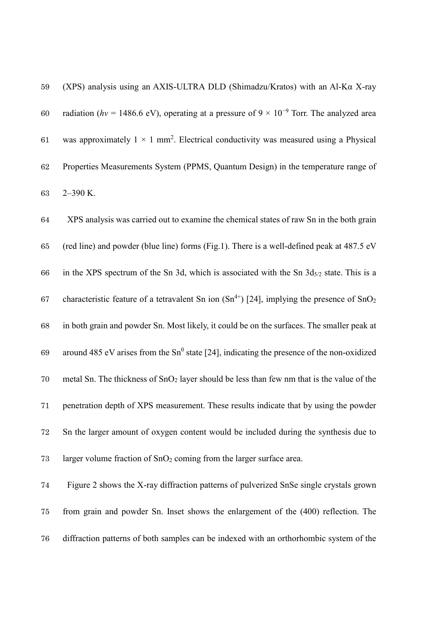(XPS) analysis using an AXIS-ULTRA DLD (Shimadzu/Kratos) with an Al-Kα X-ray 60 radiation ( $hv = 1486.6$  eV), operating at a pressure of  $9 \times 10^{-9}$  Torr. The analyzed area 61 was approximately  $1 \times 1$  mm<sup>2</sup>. Electrical conductivity was measured using a Physical Properties Measurements System (PPMS, Quantum Design) in the temperature range of 2–390 K.

 XPS analysis was carried out to examine the chemical states of raw Sn in the both grain (red line) and powder (blue line) forms (Fig.1). There is a well-defined peak at 487.5 eV 66 in the XPS spectrum of the Sn 3d, which is associated with the Sn  $3d_{5/2}$  state. This is a 67 characteristic feature of a tetravalent Sn ion  $(Sn^{4+})$  [24], implying the presence of SnO<sub>2</sub> in both grain and powder Sn. Most likely, it could be on the surfaces. The smaller peak at 69 around 485 eV arises from the Sn<sup>0</sup> state [24], indicating the presence of the non-oxidized 70 metal Sn. The thickness of  $SnO<sub>2</sub>$  layer should be less than few nm that is the value of the penetration depth of XPS measurement. These results indicate that by using the powder Sn the larger amount of oxygen content would be included during the synthesis due to 73 larger volume fraction of  $SnO<sub>2</sub>$  coming from the larger surface area. Figure 2 shows the X-ray diffraction patterns of pulverized SnSe single crystals grown from grain and powder Sn. Inset shows the enlargement of the (400) reflection. The

diffraction patterns of both samples can be indexed with an orthorhombic system of the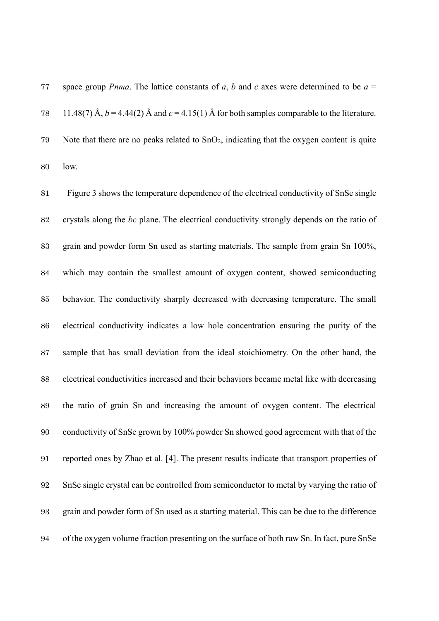space group *Pnma*. The lattice constants of *a*, *b* and *c* axes were determined to be *a* = 78 11.48(7) Å,  $b = 4.44(2)$  Å and  $c = 4.15(1)$  Å for both samples comparable to the literature. 79 Note that there are no peaks related to  $SnO<sub>2</sub>$ , indicating that the oxygen content is quite low.

 Figure 3 shows the temperature dependence of the electrical conductivity of SnSe single crystals along the *bc* plane. The electrical conductivity strongly depends on the ratio of grain and powder form Sn used as starting materials. The sample from grain Sn 100%, which may contain the smallest amount of oxygen content, showed semiconducting behavior. The conductivity sharply decreased with decreasing temperature. The small electrical conductivity indicates a low hole concentration ensuring the purity of the sample that has small deviation from the ideal stoichiometry. On the other hand, the electrical conductivities increased and their behaviors became metal like with decreasing the ratio of grain Sn and increasing the amount of oxygen content. The electrical conductivity of SnSe grown by 100% powder Sn showed good agreement with that of the reported ones by Zhao et al. [4]. The present results indicate that transport properties of SnSe single crystal can be controlled from semiconductor to metal by varying the ratio of grain and powder form of Sn used as a starting material. This can be due to the difference of the oxygen volume fraction presenting on the surface of both raw Sn. In fact, pure SnSe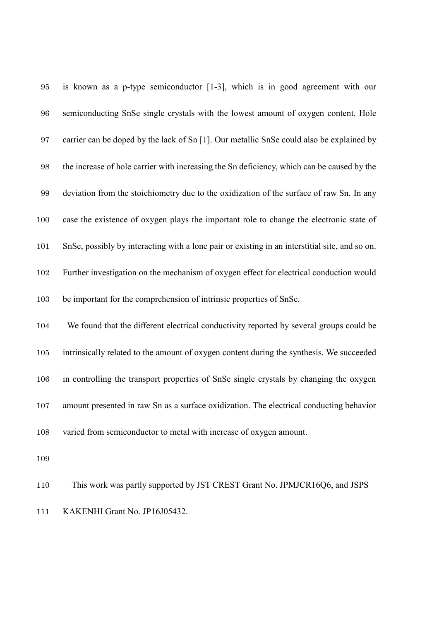| $\bf 95$          | is known as a p-type semiconductor [1-3], which is in good agreement with our                  |
|-------------------|------------------------------------------------------------------------------------------------|
| 96                | semiconducting SnSe single crystals with the lowest amount of oxygen content. Hole             |
| 97                | carrier can be doped by the lack of Sn [1]. Our metallic SnSe could also be explained by       |
| 98                | the increase of hole carrier with increasing the Sn deficiency, which can be caused by the     |
| $\boldsymbol{99}$ | deviation from the stoichiometry due to the oxidization of the surface of raw Sn. In any       |
| 100               | case the existence of oxygen plays the important role to change the electronic state of        |
| 101               | SnSe, possibly by interacting with a lone pair or existing in an interstitial site, and so on. |
| 102               | Further investigation on the mechanism of oxygen effect for electrical conduction would        |
| 103               | be important for the comprehension of intrinsic properties of SnSe.                            |
| 104               | We found that the different electrical conductivity reported by several groups could be        |
| 105               | intrinsically related to the amount of oxygen content during the synthesis. We succeeded       |
| 106               | in controlling the transport properties of SnSe single crystals by changing the oxygen         |
| 107               | amount presented in raw Sn as a surface oxidization. The electrical conducting behavior        |
| 108               | varied from semiconductor to metal with increase of oxygen amount.                             |
| 109               |                                                                                                |

 This work was partly supported by JST CREST Grant No. JPMJCR16Q6, and JSPS KAKENHI Grant No. JP16J05432.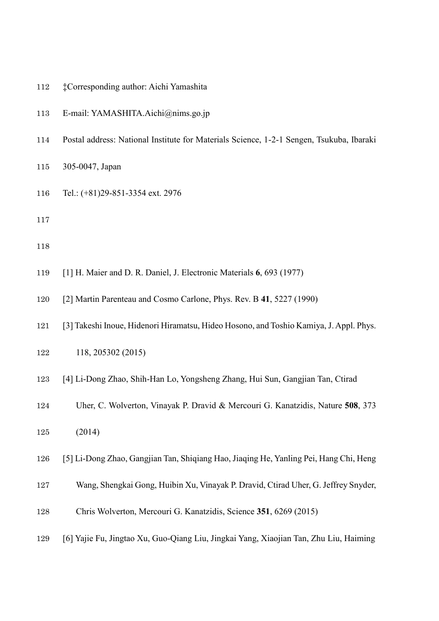- ‡Corresponding author: Aichi Yamashita
- E-mail: YAMASHITA.Aichi@nims.go.jp
- Postal address: National Institute for Materials Science, 1-2-1 Sengen, Tsukuba, Ibaraki
- 305-0047, Japan
- Tel.: (+81)29-851-3354 ext. 2976
- 
- 
- [1] H. Maier and D. R. Daniel, J. Electronic Materials **6**, 693 (1977)
- [2] Martin Parenteau and Cosmo Carlone, Phys. Rev. B **41**, 5227 (1990)
- [3] Takeshi Inoue, Hidenori Hiramatsu, Hideo Hosono, and Toshio Kamiya, J. Appl. Phys.
- 118, 205302 (2015)
- [4] Li-Dong Zhao, Shih-Han Lo, Yongsheng Zhang, Hui Sun, Gangjian Tan, Ctirad
- Uher, C. Wolverton, Vinayak P. Dravid & Mercouri G. Kanatzidis, Nature **508**, 373
- (2014)
- [5] Li-Dong Zhao, Gangjian Tan, Shiqiang Hao, Jiaqing He, Yanling Pei, Hang Chi, Heng
- Wang, Shengkai Gong, Huibin Xu, Vinayak P. Dravid, Ctirad Uher, G. Jeffrey Snyder,
- Chris Wolverton, Mercouri G. Kanatzidis, Science **351**, 6269 (2015)
- [6] Yajie Fu, Jingtao Xu, Guo-Qiang Liu, Jingkai Yang, Xiaojian Tan, Zhu Liu, Haiming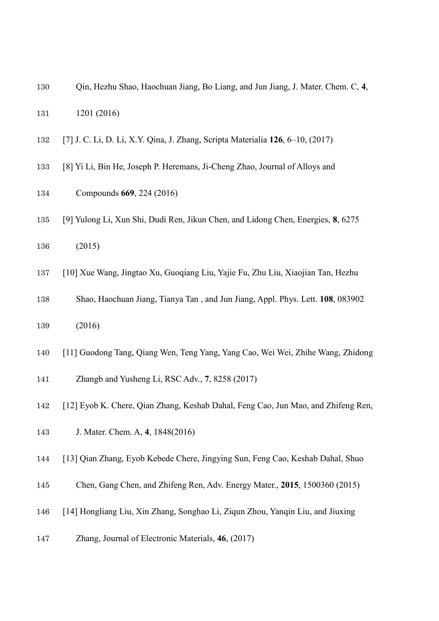- Qin, Hezhu Shao, Haochuan Jiang, Bo Liang, and Jun Jiang, J. Mater. Chem. C, **4**, 1201 (2016)
- [7] J. C. Li, D. Li, X.Y. Qina, J. Zhang, Scripta Materialia **126**, 6–10, (2017)
- [8] Yi Li, Bin He, Joseph P. Heremans, Ji-Cheng Zhao, Journal of Alloys and
- Compounds **669**, 224 (2016)
- [9] Yulong Li, Xun Shi, Dudi Ren, Jikun Chen, and Lidong Chen, Energies, **8**, 6275
- (2015)
- [10] Xue Wang, Jingtao Xu, Guoqiang Liu, Yajie Fu, Zhu Liu, Xiaojian Tan, Hezhu
- Shao, Haochuan Jiang, Tianya Tan , and Jun Jiang, Appl. Phys. Lett. **108**, 083902
- (2016)
- [11] Guodong Tang, Qiang Wen, Teng Yang, Yang Cao, Wei Wei, Zhihe Wang, Zhidong
- Zhangb and Yusheng Li, RSC Adv., **7**, 8258 (2017)
- [12] Eyob K. Chere, Qian Zhang, Keshab Dahal, Feng Cao, Jun Mao, and Zhifeng Ren,
- J. Mater. Chem. A, **4**, 1848(2016)
- [13] Qian Zhang, Eyob Kebede Chere, Jingying Sun, Feng Cao, Keshab Dahal, Shuo
- Chen, Gang Chen, and Zhifeng Ren, Adv. Energy Mater., **2015**, 1500360 (2015)
- [14] Hongliang Liu, Xin Zhang, Songhao Li, Ziqun Zhou, Yanqin Liu, and Jiuxing
- Zhang, Journal of Electronic Materials, **46**, (2017)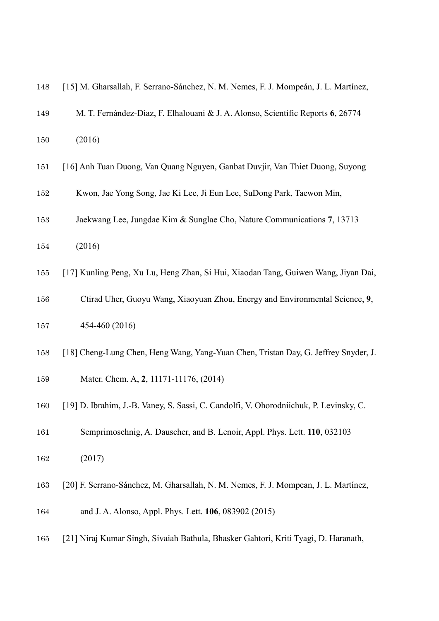| 148 | [15] M. Gharsallah, F. Serrano-Sánchez, N. M. Nemes, F. J. Mompeán, J. L. Martínez,    |
|-----|----------------------------------------------------------------------------------------|
| 149 | M. T. Fernández-Díaz, F. Elhalouani & J. A. Alonso, Scientific Reports 6, 26774        |
| 150 | (2016)                                                                                 |
| 151 | [16] Anh Tuan Duong, Van Quang Nguyen, Ganbat Duvjir, Van Thiet Duong, Suyong          |
| 152 | Kwon, Jae Yong Song, Jae Ki Lee, Ji Eun Lee, SuDong Park, Taewon Min,                  |
| 153 | Jaekwang Lee, Jungdae Kim & Sunglae Cho, Nature Communications 7, 13713                |
| 154 | (2016)                                                                                 |
| 155 | [17] Kunling Peng, Xu Lu, Heng Zhan, Si Hui, Xiaodan Tang, Guiwen Wang, Jiyan Dai,     |
| 156 | Ctirad Uher, Guoyu Wang, Xiaoyuan Zhou, Energy and Environmental Science, 9,           |
| 157 | 454-460 (2016)                                                                         |
| 158 | [18] Cheng-Lung Chen, Heng Wang, Yang-Yuan Chen, Tristan Day, G. Jeffrey Snyder, J.    |
| 159 | Mater. Chem. A, 2, 11171-11176, (2014)                                                 |
| 160 | [19] D. Ibrahim, J.-B. Vaney, S. Sassi, C. Candolfi, V. Ohorodniichuk, P. Levinsky, C. |
| 161 | Semprimoschnig, A. Dauscher, and B. Lenoir, Appl. Phys. Lett. 110, 032103              |
| 162 | (2017)                                                                                 |
|     |                                                                                        |

- [20] F. Serrano-Sánchez, M. Gharsallah, N. M. Nemes, F. J. Mompean, J. L. Martínez,
- and J. A. Alonso, Appl. Phys. Lett. **106**, 083902 (2015)
- [21] Niraj Kumar Singh, Sivaiah Bathula, Bhasker Gahtori, Kriti Tyagi, D. Haranath,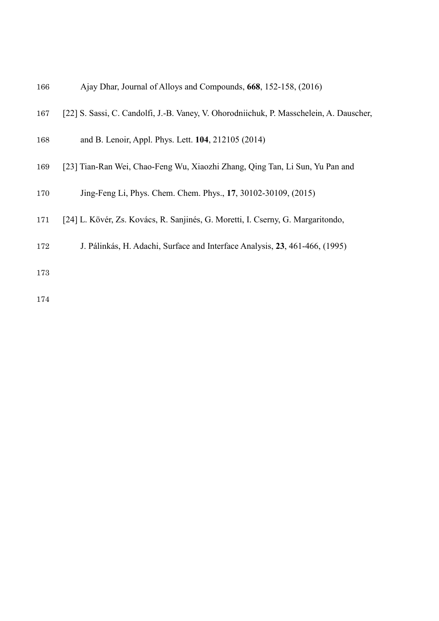| 167 | [22] S. Sassi, C. Candolfi, J.-B. Vaney, V. Ohorodniichuk, P. Masschelein, A. Dauscher, |
|-----|-----------------------------------------------------------------------------------------|
| 168 | and B. Lenoir, Appl. Phys. Lett. 104, 212105 (2014)                                     |
| 169 | [23] Tian-Ran Wei, Chao-Feng Wu, Xiaozhi Zhang, Qing Tan, Li Sun, Yu Pan and            |
| 170 | Jing-Feng Li, Phys. Chem. Chem. Phys., 17, 30102-30109, (2015)                          |
| 171 | [24] L. Kövér, Zs. Kovács, R. Sanjinés, G. Moretti, I. Cserny, G. Margaritondo,         |
| 150 | I Delights II Adopti Conferenced Intenfers Anglesia 22 AC1 ACC (1005)                   |

J. Pálinkás, H. Adachi, Surface and Interface Analysis, **23**, 461-466, (1995)

Ajay Dhar, Journal of Alloys and Compounds, **668**, 152-158, (2016)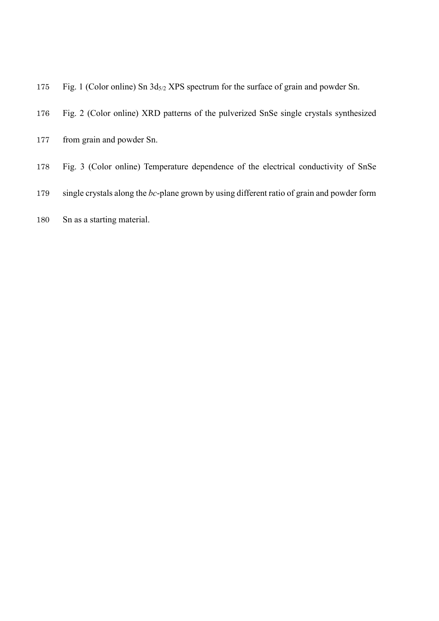- 175 Fig. 1 (Color online) Sn  $3d_{5/2}$  XPS spectrum for the surface of grain and powder Sn.
- Fig. 2 (Color online) XRD patterns of the pulverized SnSe single crystals synthesized
- from grain and powder Sn.
- Fig. 3 (Color online) Temperature dependence of the electrical conductivity of SnSe
- single crystals along the *bc*-plane grown by using different ratio of grain and powder form
- Sn as a starting material.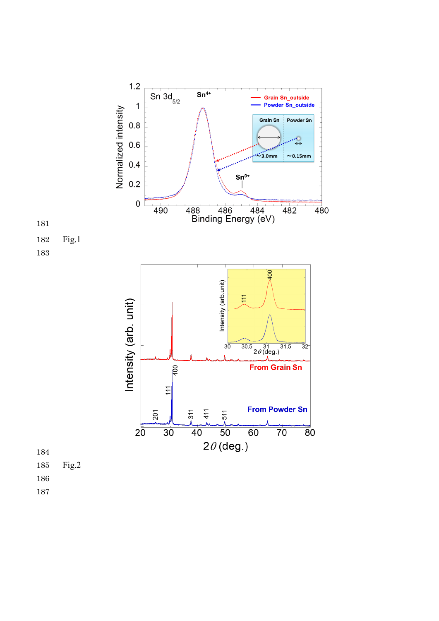

- Fig.2
- 
-